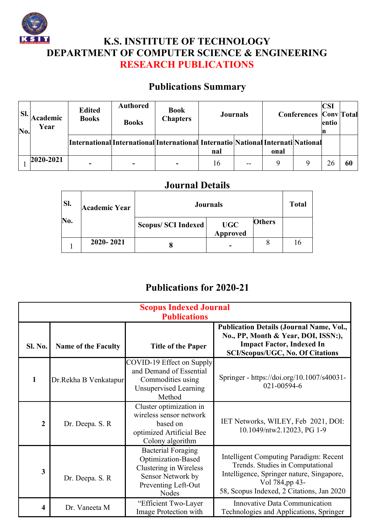

## **K.S. INSTITUTE OF TECHNOLOGY DEPARTMENT OF COMPUTER SCIENCE & ENGINEERING RESEARCH PUBLICATIONS**

## **Publications Summary**

| SI.<br>No. | Academic<br>Year | <b>Edited</b><br><b>Books</b> | <b>Authored</b><br><b>Books</b> | <b>Book</b><br><b>Chapters</b>                                                   |     | <b>Journals</b> |      | <b>Conferences Conv</b> Total | <b>CSI</b><br>entio |    |
|------------|------------------|-------------------------------|---------------------------------|----------------------------------------------------------------------------------|-----|-----------------|------|-------------------------------|---------------------|----|
|            |                  |                               |                                 | International International International Internatio National Internati National | nal |                 | onal |                               |                     |    |
|            | $2020 - 2021$    |                               |                                 |                                                                                  | 16  | $-$             |      | 9                             | 26                  | 60 |

## **Journal Details**

| Sl. | <b>Journals</b><br><b>Academic Year</b> |                           |                        | <b>Total</b> |    |
|-----|-----------------------------------------|---------------------------|------------------------|--------------|----|
| No. |                                         | <b>Scopus/SCI Indexed</b> | <b>UGC</b><br>Approved | Others       |    |
|     | 2020-2021                               | o                         |                        |              | 16 |

## **Publications for 2020-21**

| <b>Scopus Indexed Journal</b><br><b>Publications</b> |                            |                                                                                                                                       |                                                                                                                                                                                               |  |  |
|------------------------------------------------------|----------------------------|---------------------------------------------------------------------------------------------------------------------------------------|-----------------------------------------------------------------------------------------------------------------------------------------------------------------------------------------------|--|--|
| <b>Sl. No.</b>                                       | <b>Name of the Faculty</b> | <b>Title of the Paper</b>                                                                                                             | <b>Publication Details (Journal Name, Vol.,</b><br>No., PP, Month & Year, DOI, ISSN:),<br><b>Impact Factor, Indexed In</b><br><b>SCI/Scopus/UGC, No. Of Citations</b>                         |  |  |
| $\mathbf{1}$                                         | Dr.Rekha B Venkatapur      | COVID-19 Effect on Supply<br>and Demand of Essential<br>Commodities using<br><b>Unsupervised Learning</b><br>Method                   | Springer - https://doi.org/10.1007/s40031-<br>021-00594-6                                                                                                                                     |  |  |
| $\overline{2}$                                       | Dr. Deepa. S. R.           | Cluster optimization in<br>wireless sensor network<br>based on<br>optimized Artificial Bee<br>Colony algorithm                        | IET Networks, WILEY, Feb 2021, DOI:<br>10.1049/ntw2.12023, PG 1-9                                                                                                                             |  |  |
| 3                                                    | Dr. Deepa. S. R            | <b>Bacterial Foraging</b><br>Optimization-Based<br>Clustering in Wireless<br>Sensor Network by<br>Preventing Left-Out<br><b>Nodes</b> | <b>Intelligent Computing Paradigm: Recent</b><br>Trends. Studies in Computational<br>Intelligence, Springer nature, Singapore,<br>Vol 784,pp 43-<br>58, Scopus Indexed, 2 Citations, Jan 2020 |  |  |
| 4                                                    | Dr. Vaneeta M              | "Efficient Two-Layer<br>Image Protection with                                                                                         | Innovative Data Communication<br>Technologies and Applications, Springer                                                                                                                      |  |  |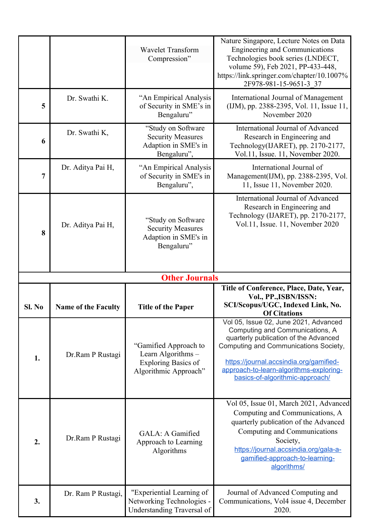|                       |                            | <b>Wavelet Transform</b><br>Compression"                                                           | Nature Singapore, Lecture Notes on Data<br><b>Engineering and Communications</b><br>Technologies book series (LNDECT,<br>volume 59), Feb 2021, PP-433-448,<br>https://link.springer.com/chapter/10.1007%<br>2F978-981-15-9651-3 37                                                  |  |  |  |
|-----------------------|----------------------------|----------------------------------------------------------------------------------------------------|-------------------------------------------------------------------------------------------------------------------------------------------------------------------------------------------------------------------------------------------------------------------------------------|--|--|--|
| 5                     | Dr. Swathi K.              | "An Empirical Analysis"<br>of Security in SME's in<br>Bengaluru"                                   | International Journal of Management<br>(IJM), pp. 2388-2395, Vol. 11, Issue 11,<br>November 2020                                                                                                                                                                                    |  |  |  |
| 6                     | Dr. Swathi K,              | "Study on Software<br><b>Security Measures</b><br>Adaption in SME's in<br>Bengaluru",              | International Journal of Advanced<br>Research in Engineering and<br>Technology(IJARET), pp. 2170-2177,<br>Vol.11, Issue. 11, November 2020.                                                                                                                                         |  |  |  |
| 7                     | Dr. Aditya Pai H,          | "An Empirical Analysis<br>of Security in SME's in<br>Bengaluru",                                   | International Journal of<br>Management(IJM), pp. 2388-2395, Vol.<br>11, Issue 11, November 2020.                                                                                                                                                                                    |  |  |  |
| 8                     | Dr. Aditya Pai H,          | "Study on Software"<br><b>Security Measures</b><br>Adaption in SME's in<br>Bengaluru"              | International Journal of Advanced<br>Research in Engineering and<br>Technology (IJARET), pp. 2170-2177,<br>Vol.11, Issue. 11, November 2020                                                                                                                                         |  |  |  |
| <b>Other Journals</b> |                            |                                                                                                    |                                                                                                                                                                                                                                                                                     |  |  |  |
|                       |                            |                                                                                                    |                                                                                                                                                                                                                                                                                     |  |  |  |
| Sl. No                | <b>Name of the Faculty</b> | <b>Title of the Paper</b>                                                                          | Title of Conference, Place, Date, Year,<br>Vol., PP., ISBN/ISSN:<br>SCI/Scopus/UGC, Indexed Link, No.<br><b>Of Citations</b>                                                                                                                                                        |  |  |  |
| 1.                    | Dr.Ram P Rustagi           | "Gamified Approach to<br>Learn Algorithms -<br><b>Exploring Basics of</b><br>Algorithmic Approach" | Vol 05, Issue 02, June 2021, Advanced<br>Computing and Communications, A<br>quarterly publication of the Advanced<br>Computing and Communications Society,<br>https://journal.accsindia.org/gamified-<br>approach-to-learn-algorithms-exploring-<br>basics-of-algorithmic-approach/ |  |  |  |
| 2.                    | Dr.Ram P Rustagi           | GALA: A Gamified<br>Approach to Learning<br>Algorithms                                             | Vol 05, Issue 01, March 2021, Advanced<br>Computing and Communications, A<br>quarterly publication of the Advanced<br>Computing and Communications<br>Society,<br>https://journal.accsindia.org/gala-a-<br>gamified-approach-to-learning-<br>algorithms/                            |  |  |  |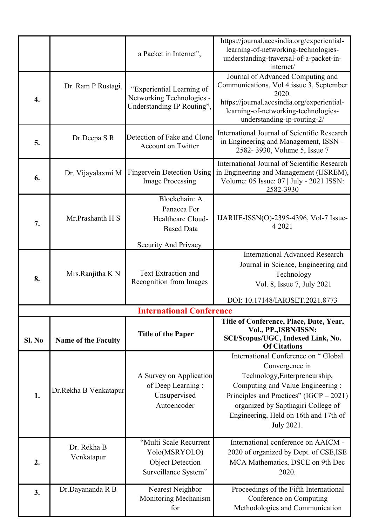|        |                            | a Packet in Internet",                                                                     | https://journal.accsindia.org/experiential-<br>learning-of-networking-technologies-<br>understanding-traversal-of-a-packet-in-<br>internet/                                                                  |
|--------|----------------------------|--------------------------------------------------------------------------------------------|--------------------------------------------------------------------------------------------------------------------------------------------------------------------------------------------------------------|
| 4.     | Dr. Ram P Rustagi,         | "Experiential Learning of<br>Networking Technologies -<br>Understanding IP Routing",       | Journal of Advanced Computing and<br>Communications, Vol 4 issue 3, September<br>2020.<br>https://journal.accsindia.org/experiential-<br>learning-of-networking-technologies-<br>understanding-ip-routing-2/ |
| 5.     | Dr.Deepa S R               | Detection of Fake and Clone<br><b>Account on Twitter</b>                                   | International Journal of Scientific Research<br>in Engineering and Management, ISSN -<br>2582-3930, Volume 5, Issue 7                                                                                        |
| 6.     | Dr. Vijayalaxmi M          | <b>Fingervein Detection Using</b><br><b>Image Processing</b>                               | International Journal of Scientific Research<br>in Engineering and Management (IJSREM),<br>Volume: 05 Issue: 07   July - 2021 ISSN:<br>2582-3930                                                             |
| 7.     | Mr.Prashanth H S           | Blockchain: A<br>Panacea For<br>Healthcare Cloud-<br><b>Based Data</b>                     | IJARIIE-ISSN $(O)$ -2395-4396, Vol-7 Issue-<br>4 2021                                                                                                                                                        |
|        |                            | Security And Privacy                                                                       |                                                                                                                                                                                                              |
| 8.     | Mrs.Ranjitha K N           | <b>Text Extraction and</b><br>Recognition from Images                                      | <b>International Advanced Research</b><br>Journal in Science, Engineering and<br>Technology<br>Vol. 8, Issue 7, July 2021                                                                                    |
|        |                            |                                                                                            | DOI: 10.17148/IARJSET.2021.8773                                                                                                                                                                              |
|        |                            | <b>International Conference</b>                                                            | Title of Conference, Place, Date, Year,                                                                                                                                                                      |
| Sl. No | <b>Name of the Faculty</b> | <b>Title of the Paper</b>                                                                  | Vol., PP., ISBN/ISSN:<br>SCI/Scopus/UGC, Indexed Link, No.<br><b>Of Citations</b>                                                                                                                            |
| 1.     |                            | A Survey on Application                                                                    | International Conference on "Global<br>Convergence in<br>Technology, Enterpreneurship,                                                                                                                       |
|        | Dr.Rekha B Venkatapur      | of Deep Learning:<br>Unsupervised<br>Autoencoder                                           | Computing and Value Engineering:<br>Principles and Practices" $(IGCP - 2021)$<br>organized by Sapthagiri College of<br>Engineering, Held on 16th and 17th of<br>July 2021.                                   |
| 2.     | Dr. Rekha B<br>Venkatapur  | "Multi Scale Recurrent<br>Yolo(MSRYOLO)<br><b>Object Detection</b><br>Surveillance System" | International conference on AAICM -<br>2020 of organized by Dept. of CSE, ISE<br>MCA Mathematics, DSCE on 9th Dec<br>2020.                                                                                   |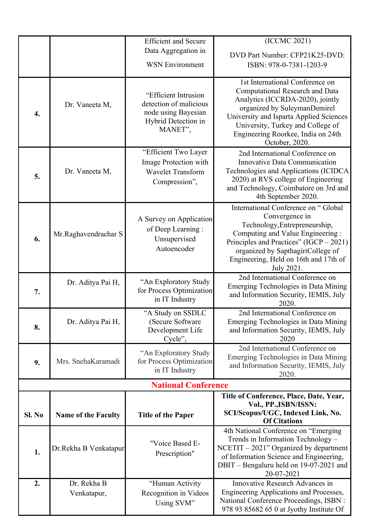|        |                            | <b>Efficient and Secure</b>                                                                             | (ICCMC 2021)                                                                                                                                                                                                                                                       |
|--------|----------------------------|---------------------------------------------------------------------------------------------------------|--------------------------------------------------------------------------------------------------------------------------------------------------------------------------------------------------------------------------------------------------------------------|
|        |                            | Data Aggregation in                                                                                     | DVD Part Number: CFP21K25-DVD:                                                                                                                                                                                                                                     |
|        |                            | <b>WSN Environment</b>                                                                                  | ISBN: 978-0-7381-1203-9                                                                                                                                                                                                                                            |
|        |                            |                                                                                                         | 1st International Conference on                                                                                                                                                                                                                                    |
| 4.     | Dr. Vaneeta M,             | "Efficient Intrusion<br>detection of malicious<br>node using Bayesian<br>Hybrid Detection in<br>MANET", | Computational Research and Data<br>Analytics (ICCRDA-2020), jointly<br>organized by SuleymanDemirel<br>University and Isparta Applied Sciences<br>University, Turkey and College of<br>Engineering Roorkee, India on 24th<br>October, 2020.                        |
| 5.     | Dr. Vaneeta M,             | "Efficient Two Layer<br>Image Protection with<br><b>Wavelet Transform</b><br>Compression",              | 2nd International Conference on<br>Innovative Data Communication<br>Technologies and Applications (ICIDCA<br>2020) at RVS college of Engineering<br>and Technology, Coimbatore on 3rd and<br>4th September 2020.                                                   |
| 6.     | Mr.Raghavendrachar S       | A Survey on Application<br>of Deep Learning:<br>Unsupervised<br>Autoencoder                             | International Conference on "Global<br>Convergence in<br>Technology, Entrepreneurship,<br>Computing and Value Engineering :<br>Principles and Practices" (IGCP - 2021)<br>organized by SapthagiriCollege of<br>Engineering, Held on 16th and 17th of<br>July 2021. |
| 7.     | Dr. Aditya Pai H,          | "An Exploratory Study<br>for Process Optimization<br>in IT Industry                                     | 2nd International Conference on<br>Emerging Technologies in Data Mining<br>and Information Security, IEMIS, July<br>2020.                                                                                                                                          |
| 8.     | Dr. Aditya Pai H,          | "A Study on SSDLC<br>(Secure Software<br>Development Life<br>Cycle",                                    | 2nd International Conference on<br>Emerging Technologies in Data Mining<br>and Information Security, IEMIS, July<br>2020                                                                                                                                           |
| 9.     | Mrs. SnehaKaramadi         | "An Exploratory Study<br>for Process Optimization<br>in IT Industry                                     | 2nd International Conference on<br>Emerging Technologies in Data Mining<br>and Information Security, IEMIS, July<br>2020.                                                                                                                                          |
|        |                            | <b>National Conference</b>                                                                              |                                                                                                                                                                                                                                                                    |
|        |                            |                                                                                                         | Title of Conference, Place, Date, Year,<br>Vol., PP., ISBN/ISSN:                                                                                                                                                                                                   |
| Sl. No | <b>Name of the Faculty</b> | <b>Title of the Paper</b>                                                                               | SCI/Scopus/UGC, Indexed Link, No.<br><b>Of Citations</b>                                                                                                                                                                                                           |
| 1.     | Dr.Rekha B Venkatapur      | "Voice Based E-<br>Prescription"                                                                        | 4th National Conference on "Emerging<br>Trends in Information Technology -<br>$NCETIT - 2021"$ Organized by department<br>of Information Science and Engineering,<br>DBIT - Bengaluru held on 19-07-2021 and<br>20-07-2021                                         |
| 2.     | Dr. Rekha B<br>Venkatapur, | "Human Activity<br>Recognition in Videos<br>Using SVM"                                                  | Innovative Research Advances in<br>Engineering Applications and Processes,<br>National Conference Proceedings, ISBN :<br>978 93 85682 65 0 at Jyothy Institute Of                                                                                                  |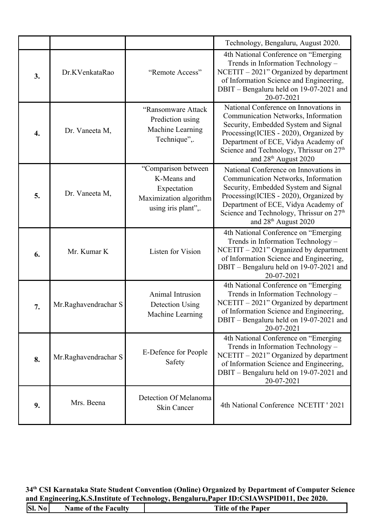|    |                      |                                                                                                    | Technology, Bengaluru, August 2020.                                                                                                                                                                                                                                                               |
|----|----------------------|----------------------------------------------------------------------------------------------------|---------------------------------------------------------------------------------------------------------------------------------------------------------------------------------------------------------------------------------------------------------------------------------------------------|
| 3. | Dr.KVenkataRao       | "Remote Access"                                                                                    | 4th National Conference on "Emerging"<br>Trends in Information Technology -<br>$NCETIT - 2021"$ Organized by department<br>of Information Science and Engineering,<br>DBIT - Bengaluru held on 19-07-2021 and<br>20-07-2021                                                                       |
| 4. | Dr. Vaneeta M,       | "Ransomware Attack<br>Prediction using<br>Machine Learning<br>Technique",.                         | National Conference on Innovations in<br>Communication Networks, Information<br>Security, Embedded System and Signal<br>Processing(ICIES - 2020), Organized by<br>Department of ECE, Vidya Academy of<br>Science and Technology, Thrissur on $27th$<br>and $28th$ August 2020                     |
| 5. | Dr. Vaneeta M,       | "Comparison between<br>K-Means and<br>Expectation<br>Maximization algorithm<br>using iris plant",. | National Conference on Innovations in<br>Communication Networks, Information<br>Security, Embedded System and Signal<br>Processing(ICIES - 2020), Organized by<br>Department of ECE, Vidya Academy of<br>Science and Technology, Thrissur on 27 <sup>th</sup><br>and 28 <sup>th</sup> August 2020 |
| 6. | Mr. Kumar K          | Listen for Vision                                                                                  | 4th National Conference on "Emerging<br>Trends in Information Technology -<br>$NCETIT - 2021"$ Organized by department<br>of Information Science and Engineering,<br>DBIT - Bengaluru held on 19-07-2021 and<br>20-07-2021                                                                        |
| 7. | Mr.Raghavendrachar S | Animal Intrusion<br>Detection Using<br>Machine Learning                                            | 4th National Conference on "Emerging<br>Trends in Information Technology -<br>$NCETIT - 2021"$ Organized by department<br>of Information Science and Engineering,<br>DBIT – Bengaluru held on 19-07-2021 and<br>20-07-2021                                                                        |
| 8. | Mr.Raghavendrachar S | E-Defence for People<br>Safety                                                                     | 4th National Conference on "Emerging<br>Trends in Information Technology -<br>$NCETIT - 2021"$ Organized by department<br>of Information Science and Engineering,<br>DBIT - Bengaluru held on 19-07-2021 and<br>20-07-2021                                                                        |
| 9. | Mrs. Beena           | Detection Of Melanoma<br>Skin Cancer                                                               | 4th National Conference NCETIT ' 2021                                                                                                                                                                                                                                                             |

**34th CSI Karnataka State Student Convention (Online) Organized by Department of Computer Science and Engineering,K.S.Institute of Technology, Bengaluru,Paper ID:CSIAWSPID011, Dec 2020.**

| SI.<br>No <sub>1</sub><br><b>Title of the Paper</b><br>Name of the Faculty |
|----------------------------------------------------------------------------|
|----------------------------------------------------------------------------|